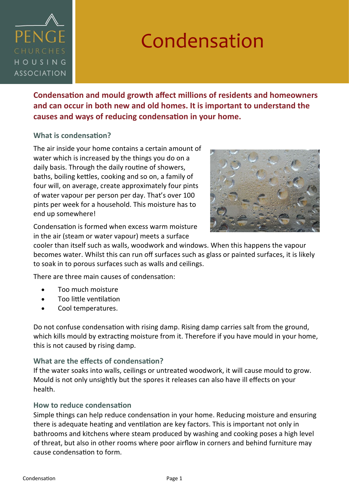

## Condensation

**Condensation and mould growth affect millions of residents and homeowners and can occur in both new and old homes. It is important to understand the causes and ways of reducing condensation in your home.** 

## **What is condensation?**

The air inside your home contains a certain amount of water which is increased by the things you do on a daily basis. Through the daily routine of showers, baths, boiling kettles, cooking and so on, a family of four will, on average, create approximately four pints of water vapour per person per day. That's over 100 pints per week for a household. This moisture has to end up somewhere!



Condensation is formed when excess warm moisture in the air (steam or water vapour) meets a surface

cooler than itself such as walls, woodwork and windows. When this happens the vapour becomes water. Whilst this can run off surfaces such as glass or painted surfaces, it is likely to soak in to porous surfaces such as walls and ceilings.

There are three main causes of condensation:

- Too much moisture
- Too little ventilation
- Cool temperatures.

Do not confuse condensation with rising damp. Rising damp carries salt from the ground, which kills mould by extracting moisture from it. Therefore if you have mould in your home, this is not caused by rising damp.

## **What are the effects of condensation?**

If the water soaks into walls, ceilings or untreated woodwork, it will cause mould to grow. Mould is not only unsightly but the spores it releases can also have ill effects on your health.

## **How to reduce condensation**

Simple things can help reduce condensation in your home. Reducing moisture and ensuring there is adequate heating and ventilation are key factors. This is important not only in bathrooms and kitchens where steam produced by washing and cooking poses a high level of threat, but also in other rooms where poor airflow in corners and behind furniture may cause condensation to form.